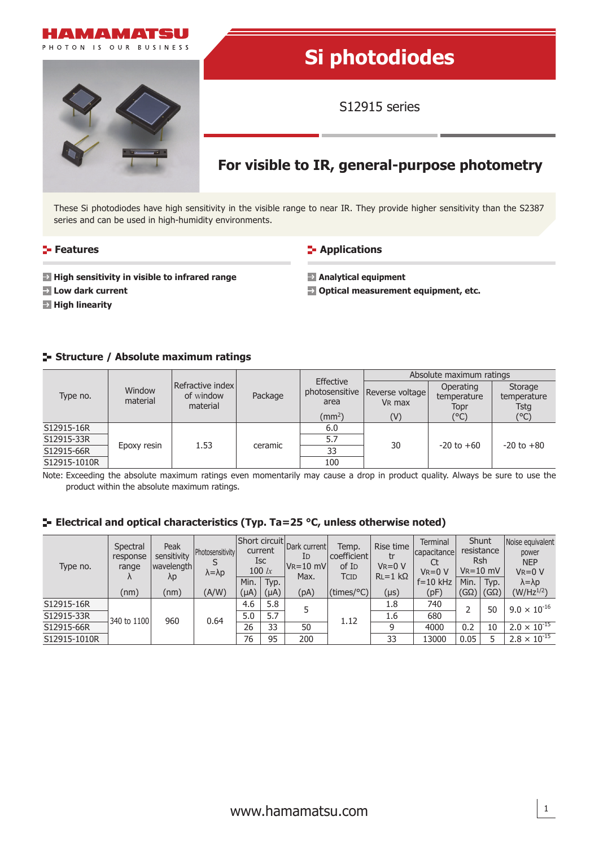

# **Si photodiodes**

S12915 series

## **For visible to IR, general-purpose photometry**

These Si photodiodes have high sensitivity in the visible range to near IR. They provide higher sensitivity than the S2387 series and can be used in high-humidity environments.

#### **Features**

**F** Applications

- **High sensitivity in visible to infrared range**
- **Low dark current**
- **High linearity**

**Analytical equipment**

**Optical measurement equipment, etc.**

#### **Structure / Absolute maximum ratings**

| Type no.                 | Window<br>material | Refractive index<br>of window<br>material |         | Effective              | Absolute maximum ratings              |                                  |                                |  |
|--------------------------|--------------------|-------------------------------------------|---------|------------------------|---------------------------------------|----------------------------------|--------------------------------|--|
|                          |                    |                                           | Package | photosensitive<br>area | Reverse voltage<br>V <sub>R</sub> max | Operating<br>temperature<br>Topr | Storage<br>temperature<br>Tstg |  |
|                          |                    |                                           |         | $\text{(mm}^2)$        | (V)                                   | $C^{\circ}$ C)                   | (°C)                           |  |
| S12915-16R               |                    |                                           |         | 6.0                    |                                       |                                  |                                |  |
| S12915-33R<br>S12915-66R |                    | 1.53                                      | ceramic | 5.7                    | 30                                    | $-20$ to $+60$                   | $-20$ to $+80$                 |  |
|                          | Epoxy resin        |                                           |         | 33                     |                                       |                                  |                                |  |
| S12915-1010R             |                    |                                           |         | 100                    |                                       |                                  |                                |  |

Note: Exceeding the absolute maximum ratings even momentarily may cause a drop in product quality. Always be sure to use the product within the absolute maximum ratings.

#### **E-** Electrical and optical characteristics (Typ. Ta=25 °C, unless otherwise noted)

| Type no.     | Spectral<br>response<br>range<br>$\Lambda$<br>(nm) | Peak<br>sensitivity<br>wavelength<br>λp<br>(nm) | <b>Photosensitivity</b><br>$\lambda = \lambda p$<br>(A/W) | Short circuit<br>current<br><b>Isc</b><br>$100 \;$ lx |              | Dark current<br>ID<br>$ V_R=10$ mV<br>Max. | Temp.<br>coefficient<br>of I <sub>D</sub><br>TCID | Rise time<br>tr<br>$V_R = 0 V$<br>$RL = 1 k\Omega$ | <b>Terminal</b><br>capacitance<br>$V_R = 0 V$ | Shunt<br>resistance<br>Rsh<br>$V_R = 10$ mV |                     | Noise equivalent<br>power<br><b>NEP</b><br>$V_R = 0 V$ |
|--------------|----------------------------------------------------|-------------------------------------------------|-----------------------------------------------------------|-------------------------------------------------------|--------------|--------------------------------------------|---------------------------------------------------|----------------------------------------------------|-----------------------------------------------|---------------------------------------------|---------------------|--------------------------------------------------------|
|              |                                                    |                                                 |                                                           | Min.<br>$(\mu A)$                                     | Typ.<br>(µA) | (pA)                                       | $(\text{times}/^{\circ}C)$                        | $(\mu s)$                                          | $f = 10$ kHz<br>(pF)                          | Min.<br>(GΩ)                                | Typ.<br>$(G\Omega)$ | $\lambda = \lambda p$<br>$(W/Hz^{1/2})$                |
| S12915-16R   | 340 to 1100                                        |                                                 |                                                           | 4.6                                                   | 5.8          |                                            | 1.12                                              | 1.8                                                | 740                                           |                                             | 50                  | $9.0 \times 10^{-16}$                                  |
| S12915-33R   |                                                    | 960                                             | 0.64                                                      | 5.0                                                   | 5.7          |                                            |                                                   | 1.6                                                | 680                                           |                                             |                     |                                                        |
| S12915-66R   |                                                    |                                                 |                                                           | 26                                                    | 33           | 50                                         |                                                   | a                                                  | 4000                                          | 0.2                                         | 10                  | $2.0 \times 10^{-15}$                                  |
| S12915-1010R |                                                    |                                                 |                                                           | 76                                                    | 95           | 200                                        |                                                   | 33                                                 | 13000                                         | 0.05                                        |                     | $2.8 \times 10^{-15}$                                  |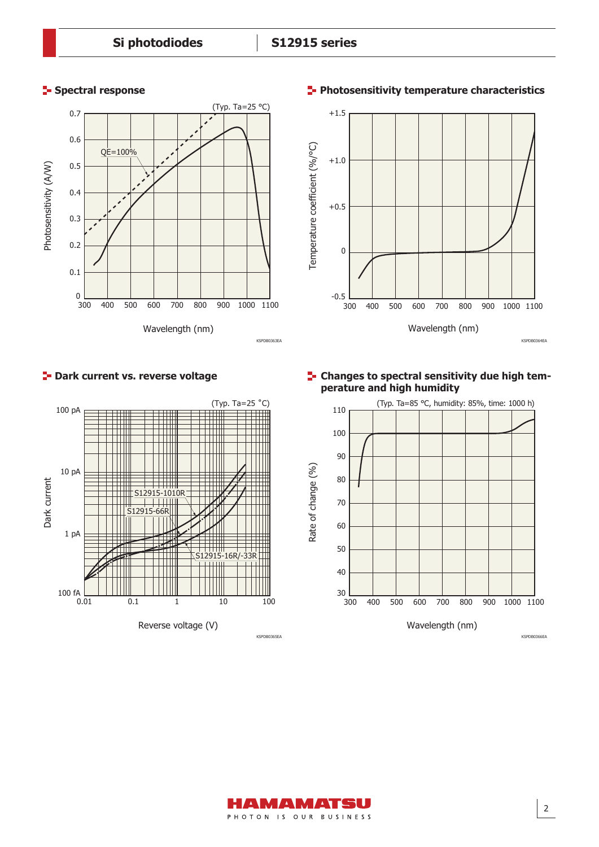

#### **P**- Dark current vs. reverse voltage



#### **Spectral response Photosensitivity temperature characteristics**



#### **E-** Changes to spectral sensitivity due high tem**perature and high humidity**



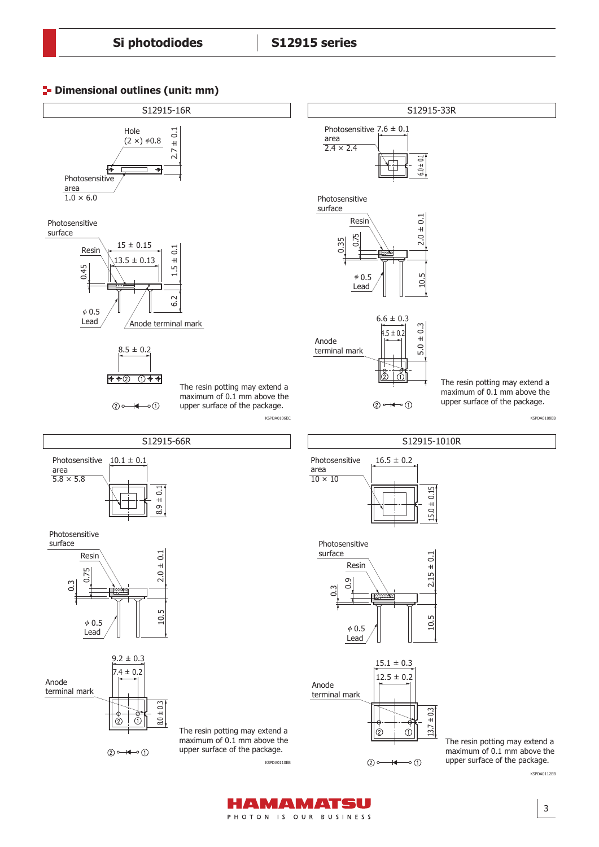



HAMAMATSU PHOTON IS OUR BUSINESS

3